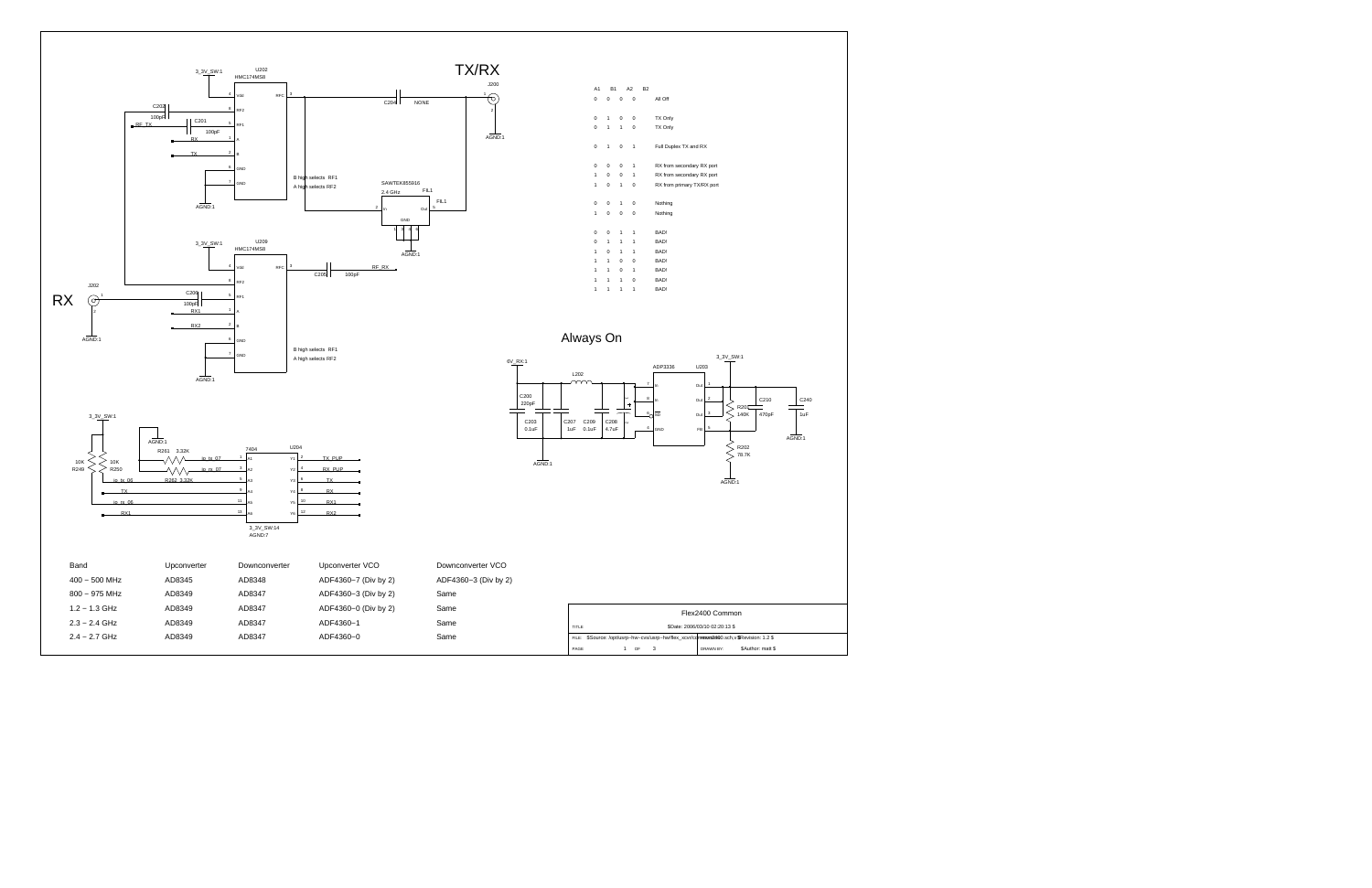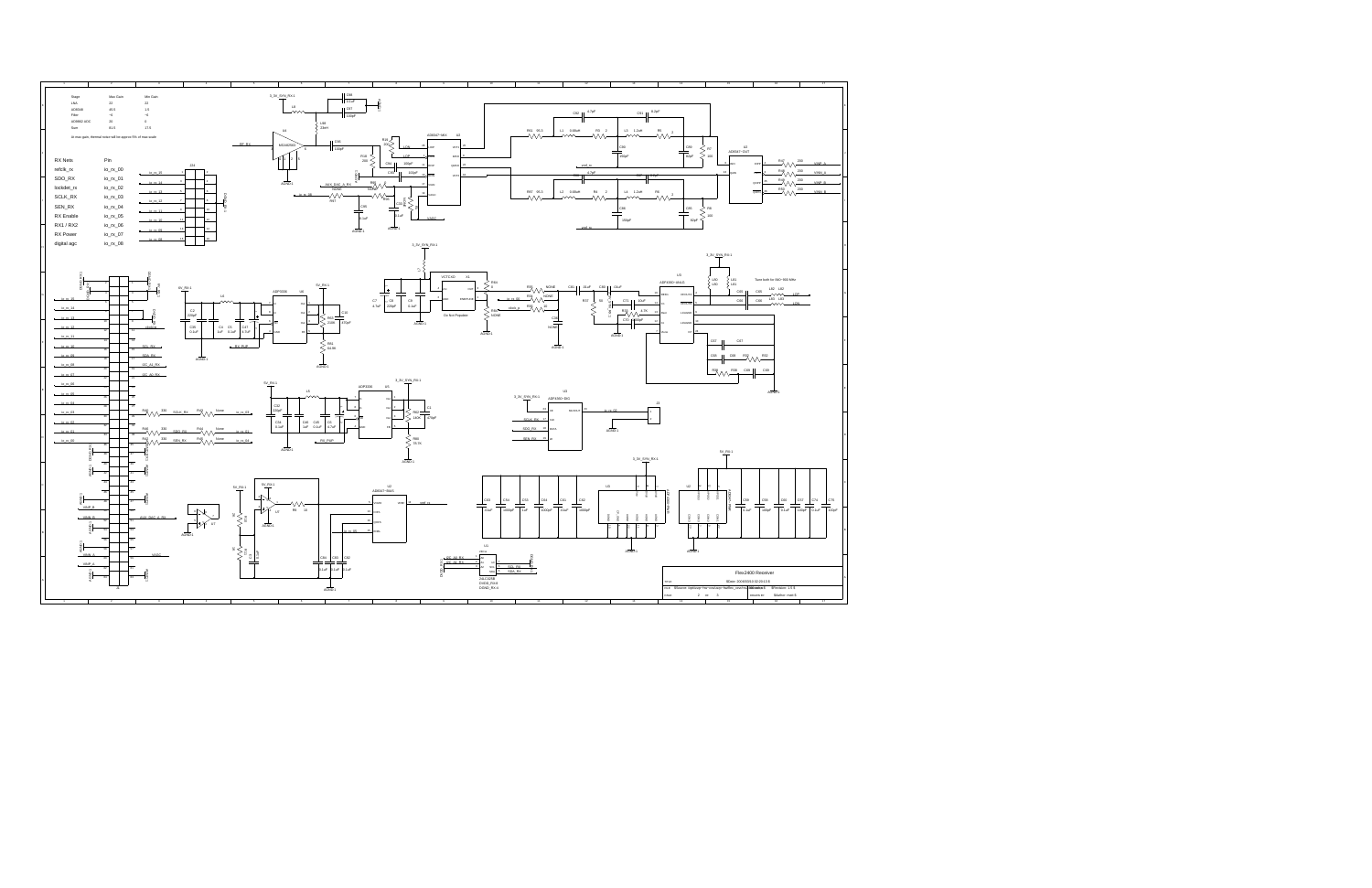